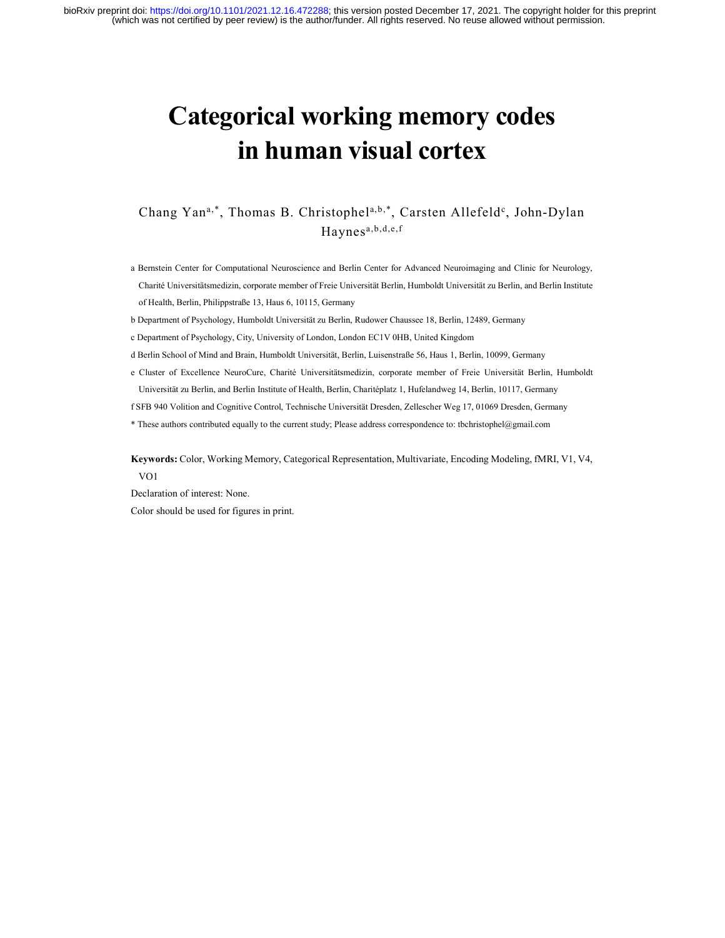# Categorical working memory codes in human visual cortex

# Chang Yan<sup>a,\*</sup>, Thomas B. Christophel<sup>a,b,\*</sup>, Carsten Allefeld<sup>c</sup>, John-Dylan Haynesa,b,d,e,f

- a Bernstein Center for Computational Neuroscience and Berlin Center for Advanced Neuroimaging and Clinic for Neurology, Charité Universitätsmedizin, corporate member of Freie Universität Berlin, Humboldt Universität zu Berlin, and Berlin Institute of Health, Berlin, Philippstraße 13, Haus 6, 10115, Germany
- b Department of Psychology, Humboldt Universität zu Berlin, Rudower Chaussee 18, Berlin, 12489, Germany
- c Department of Psychology, City, University of London, London EC1V 0HB, United Kingdom
- d Berlin School of Mind and Brain, Humboldt Universität, Berlin, Luisenstraße 56, Haus 1, Berlin, 10099, Germany
- e Cluster of Excellence NeuroCure, Charité Universitätsmedizin, corporate member of Freie Universität Berlin, Humboldt Universität zu Berlin, and Berlin Institute of Health, Berlin, Charitéplatz 1, Hufelandweg 14, Berlin, 10117, Germany
- f SFB 940 Volition and Cognitive Control, Technische Universität Dresden, Zellescher Weg 17, 01069 Dresden, Germany
- \* These authors contributed equally to the current study; Please address correspondence to: tbchristophel@gmail.com

Keywords: Color, Working Memory, Categorical Representation, Multivariate, Encoding Modeling, fMRI, V1, V4, VO1

Declaration of interest: None. Color should be used for figures in print.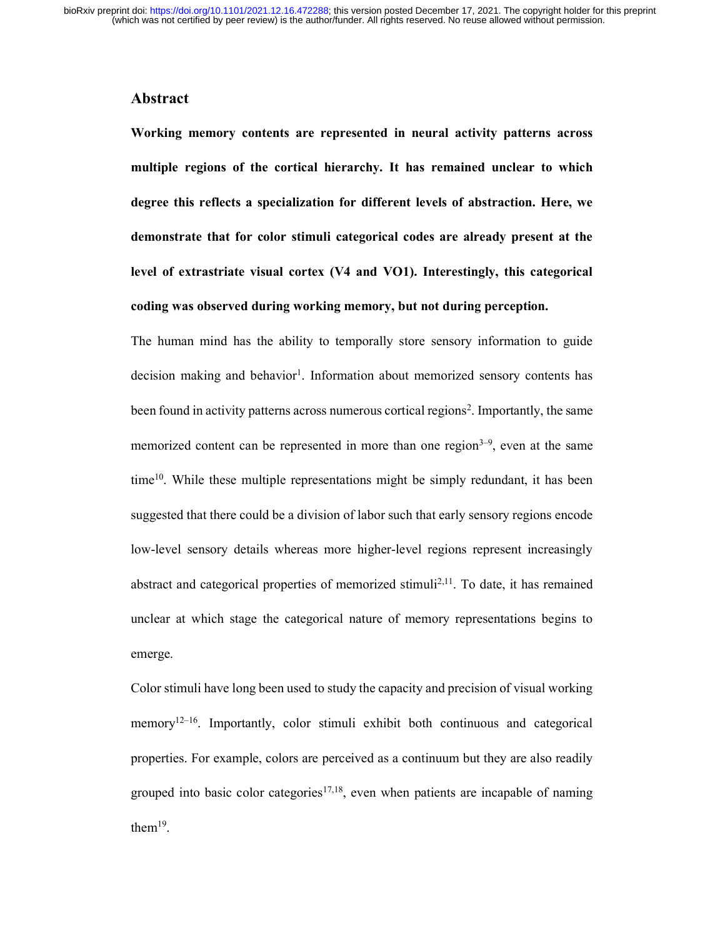# Abstract

Working memory contents are represented in neural activity patterns across multiple regions of the cortical hierarchy. It has remained unclear to which degree this reflects a specialization for different levels of abstraction. Here, we demonstrate that for color stimuli categorical codes are already present at the level of extrastriate visual cortex (V4 and VO1). Interestingly, this categorical coding was observed during working memory, but not during perception.

The human mind has the ability to temporally store sensory information to guide decision making and behavior<sup>1</sup>. Information about memorized sensory contents has been found in activity patterns across numerous cortical regions<sup>2</sup>. Importantly, the same memorized content can be represented in more than one region<sup> $3-9$ </sup>, even at the same time<sup>10</sup>. While these multiple representations might be simply redundant, it has been suggested that there could be a division of labor such that early sensory regions encode low-level sensory details whereas more higher-level regions represent increasingly abstract and categorical properties of memorized stimuli<sup>2,11</sup>. To date, it has remained unclear at which stage the categorical nature of memory representations begins to emerge.

Color stimuli have long been used to study the capacity and precision of visual working memory<sup>12–16</sup>. Importantly, color stimuli exhibit both continuous and categorical properties. For example, colors are perceived as a continuum but they are also readily grouped into basic color categories<sup>17,18</sup>, even when patients are incapable of naming them<sup>19</sup>.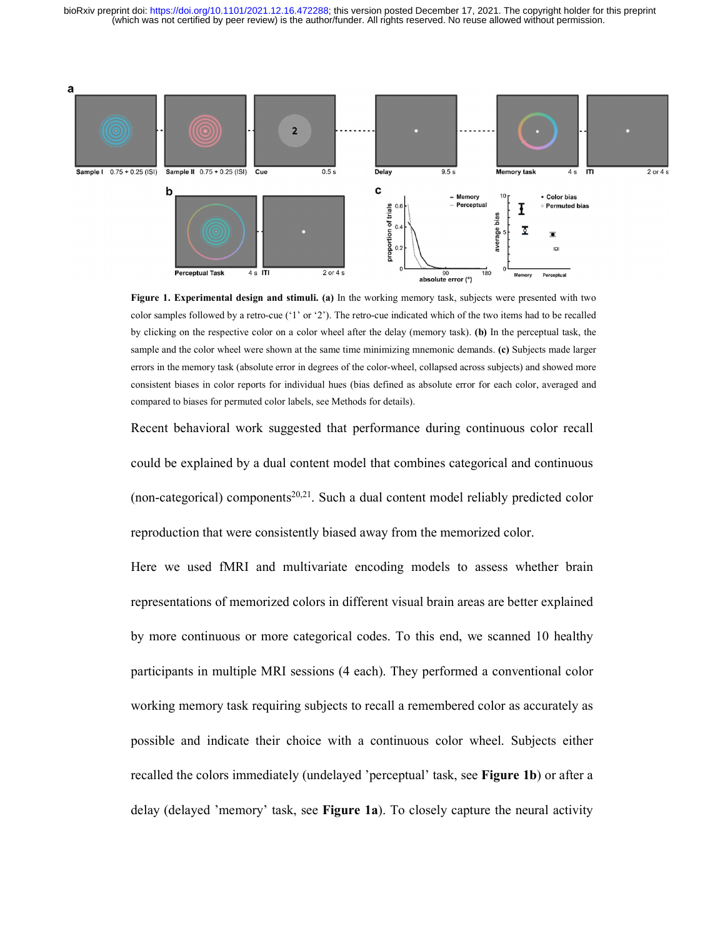(which was not certified by peer review) is the author/funder. All rights reserved. No reuse allowed without permission. bioRxiv preprint doi: [https://doi.org/10.1101/2021.12.16.472288;](https://doi.org/10.1101/2021.12.16.472288) this version posted December 17, 2021. The copyright holder for this preprint



Figure 1. Experimental design and stimuli. (a) In the working memory task, subjects were presented with two color samples followed by a retro-cue ('1' or '2'). The retro-cue indicated which of the two items had to be recalled by clicking on the respective color on a color wheel after the delay (memory task). (b) In the perceptual task, the sample and the color wheel were shown at the same time minimizing mnemonic demands. (c) Subjects made larger errors in the memory task (absolute error in degrees of the color-wheel, collapsed across subjects) and showed more consistent biases in color reports for individual hues (bias defined as absolute error for each color, averaged and compared to biases for permuted color labels, see Methods for details).

Recent behavioral work suggested that performance during continuous color recall could be explained by a dual content model that combines categorical and continuous (non-categorical) components<sup>20,21</sup>. Such a dual content model reliably predicted color reproduction that were consistently biased away from the memorized color.

Here we used fMRI and multivariate encoding models to assess whether brain representations of memorized colors in different visual brain areas are better explained by more continuous or more categorical codes. To this end, we scanned 10 healthy participants in multiple MRI sessions (4 each). They performed a conventional color working memory task requiring subjects to recall a remembered color as accurately as possible and indicate their choice with a continuous color wheel. Subjects either recalled the colors immediately (undelayed 'perceptual' task, see Figure 1b) or after a delay (delayed 'memory' task, see Figure 1a). To closely capture the neural activity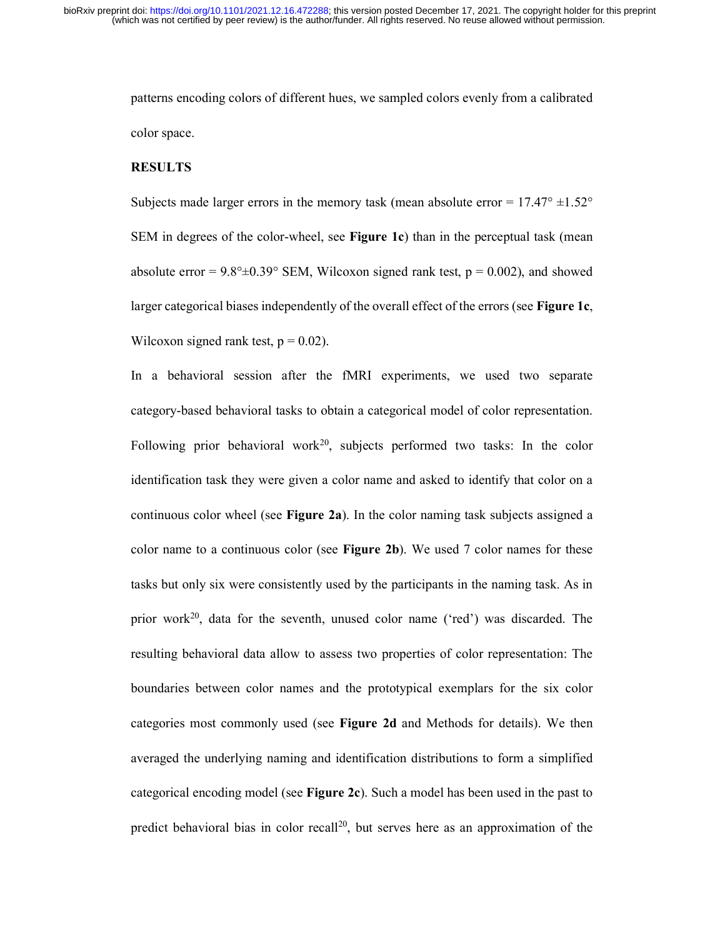patterns encoding colors of different hues, we sampled colors evenly from a calibrated color space.

#### RESULTS

Subjects made larger errors in the memory task (mean absolute error =  $17.47^{\circ}$   $\pm 1.52^{\circ}$ ) SEM in degrees of the color-wheel, see Figure 1c) than in the perceptual task (mean absolute error =  $9.8^{\circ} \pm 0.39^{\circ}$  SEM, Wilcoxon signed rank test,  $p = 0.002$ ), and showed larger categorical biases independently of the overall effect of the errors (see Figure 1c, Wilcoxon signed rank test,  $p = 0.02$ ).

In a behavioral session after the fMRI experiments, we used two separate category-based behavioral tasks to obtain a categorical model of color representation. Following prior behavioral work<sup>20</sup>, subjects performed two tasks: In the color identification task they were given a color name and asked to identify that color on a continuous color wheel (see Figure 2a). In the color naming task subjects assigned a color name to a continuous color (see Figure 2b). We used  $7$  color names for these tasks but only six were consistently used by the participants in the naming task. As in prior work<sup>20</sup>, data for the seventh, unused color name ('red') was discarded. The resulting behavioral data allow to assess two properties of color representation: The boundaries between color names and the prototypical exemplars for the six color categories most commonly used (see Figure 2d and Methods for details). We then averaged the underlying naming and identification distributions to form a simplified categorical encoding model (see Figure 2c). Such a model has been used in the past to predict behavioral bias in color recall<sup>20</sup>, but serves here as an approximation of the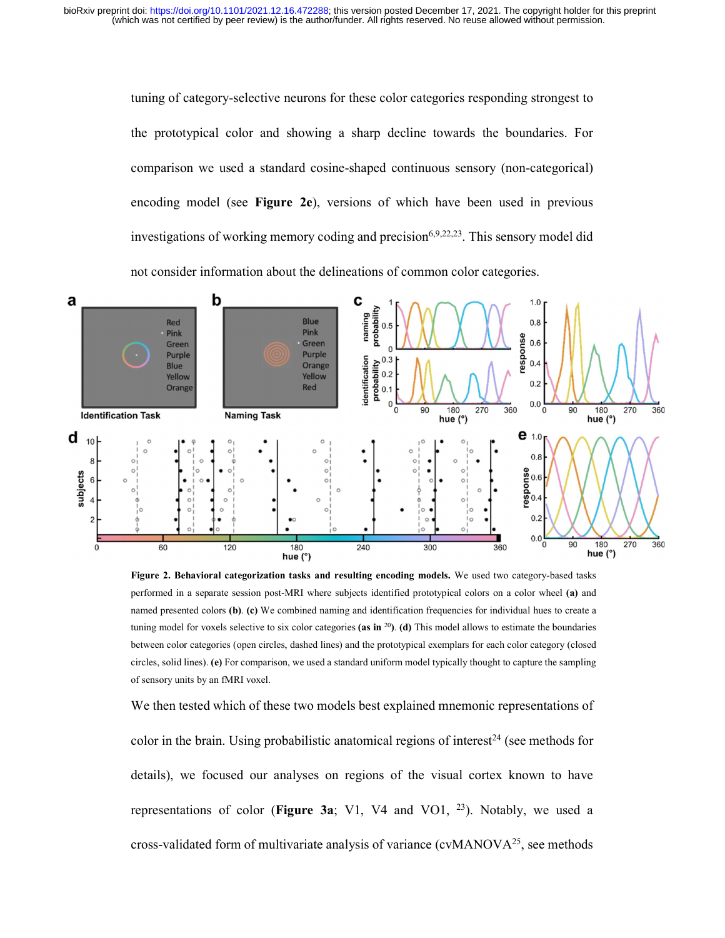tuning of category-selective neurons for these color categories responding strongest to the prototypical color and showing a sharp decline towards the boundaries. For comparison we used a standard cosine-shaped continuous sensory (non-categorical) encoding model (see Figure 2e), versions of which have been used in previous investigations of working memory coding and precision $6,9,22,23$ . This sensory model did not consider information about the delineations of common color categories.



Figure 2. Behavioral categorization tasks and resulting encoding models. We used two category-based tasks performed in a separate session post-MRI where subjects identified prototypical colors on a color wheel (a) and named presented colors (b). (c) We combined naming and identification frequencies for individual hues to create a tuning model for voxels selective to six color categories (as in  $^{20}$ ). (d) This model allows to estimate the boundaries between color categories (open circles, dashed lines) and the prototypical exemplars for each color category (closed circles, solid lines). (e) For comparison, we used a standard uniform model typically thought to capture the sampling of sensory units by an fMRI voxel.

We then tested which of these two models best explained mnemonic representations of color in the brain. Using probabilistic anatomical regions of interest<sup>24</sup> (see methods for details), we focused our analyses on regions of the visual cortex known to have representations of color (Figure 3a; V1, V4 and VO1,  $^{23}$ ). Notably, we used a cross-validated form of multivariate analysis of variance (cvMANOV $A^{25}$ , see methods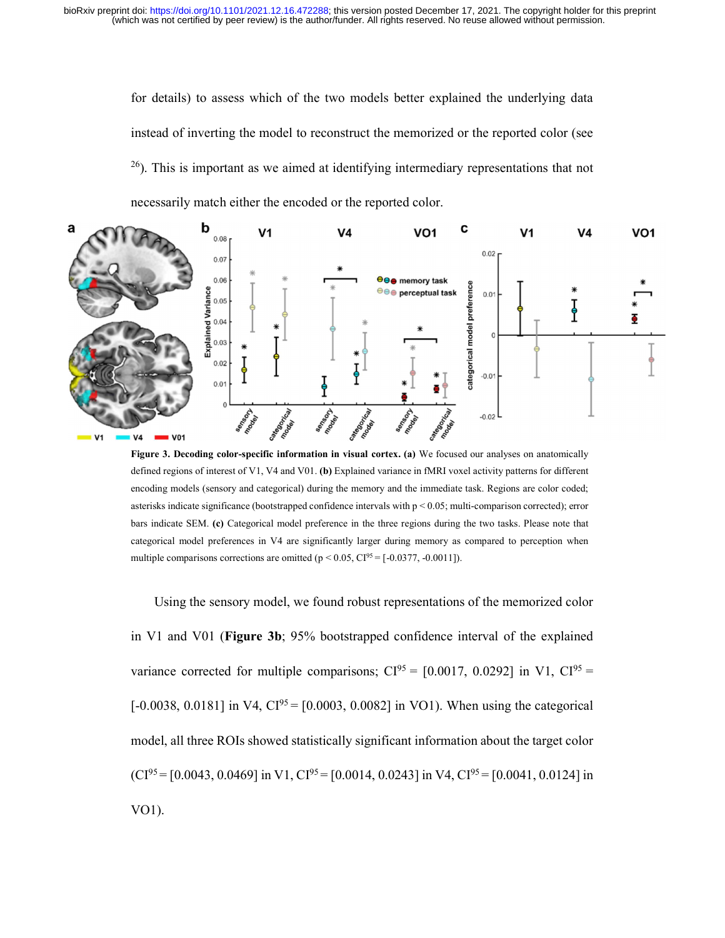for details) to assess which of the two models better explained the underlying data instead of inverting the model to reconstruct the memorized or the reported color (see  $^{26}$ ). This is important as we aimed at identifying intermediary representations that not

necessarily match either the encoded or the reported color.



Figure 3. Decoding color-specific information in visual cortex. (a) We focused our analyses on anatomically defined regions of interest of V1, V4 and V01. (b) Explained variance in fMRI voxel activity patterns for different encoding models (sensory and categorical) during the memory and the immediate task. Regions are color coded; asterisks indicate significance (bootstrapped confidence intervals with p < 0.05; multi-comparison corrected); error bars indicate SEM. (c) Categorical model preference in the three regions during the two tasks. Please note that categorical model preferences in V4 are significantly larger during memory as compared to perception when multiple comparisons corrections are omitted ( $p < 0.05$ , CI<sup>95</sup> = [-0.0377, -0.0011]).

Using the sensory model, we found robust representations of the memorized color in V1 and V01 (Figure 3b; 95% bootstrapped confidence interval of the explained variance corrected for multiple comparisons;  $CI^{95} = [0.0017, 0.0292]$  in V1,  $CI^{95} =$  $[-0.0038, 0.0181]$  in V4,  $CI^{95} = [0.0003, 0.0082]$  in VO1). When using the categorical model, all three ROIs showed statistically significant information about the target color  $(CI^{95} = [0.0043, 0.0469]$  in V1,  $CI^{95} = [0.0014, 0.0243]$  in V4,  $CI^{95} = [0.0041, 0.0124]$  in VO1).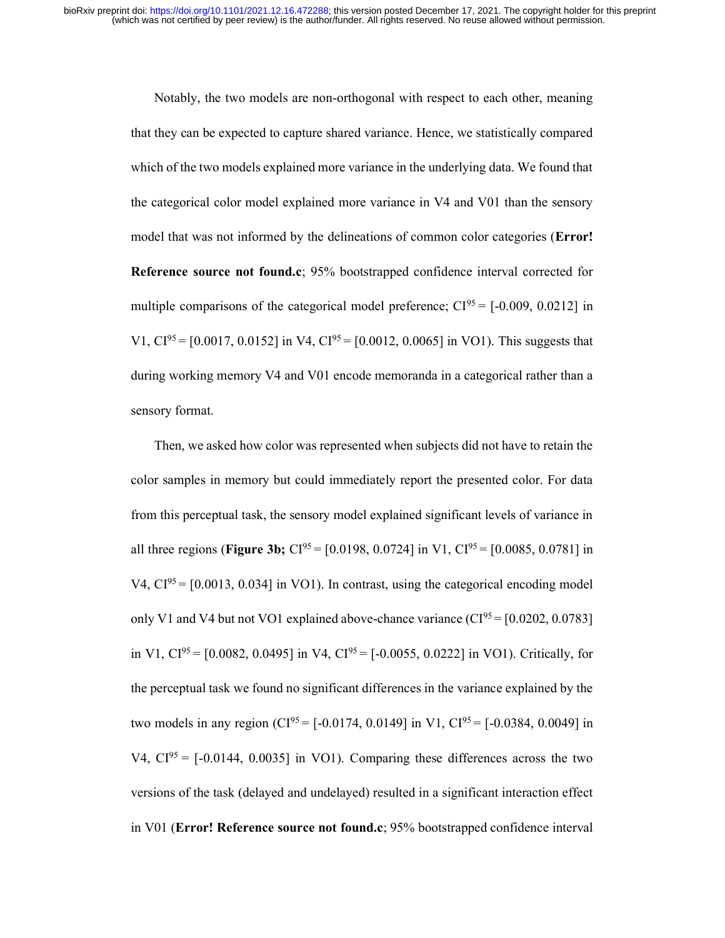Notably, the two models are non-orthogonal with respect to each other, meaning that they can be expected to capture shared variance. Hence, we statistically compared which of the two models explained more variance in the underlying data. We found that the categorical color model explained more variance in V4 and V01 than the sensory model that was not informed by the delineations of common color categories (Error! Reference source not found.c; 95% bootstrapped confidence interval corrected for multiple comparisons of the categorical model preference;  $CI^{95} = [-0.009, 0.0212]$  in V1,  $CI^{95} = [0.0017, 0.0152]$  in V4,  $CI^{95} = [0.0012, 0.0065]$  in VO1). This suggests that during working memory V4 and V01 encode memoranda in a categorical rather than a sensory format.

Then, we asked how color was represented when subjects did not have to retain the color samples in memory but could immediately report the presented color. For data from this perceptual task, the sensory model explained significant levels of variance in all three regions (**Figure 3b;**  $CI^{95} = [0.0198, 0.0724]$  in V1,  $CI^{95} = [0.0085, 0.0781]$  in  $V4$ ,  $Cl<sup>95</sup> = [0.0013, 0.034]$  in VO1). In contrast, using the categorical encoding model only V1 and V4 but not VO1 explained above-chance variance  $(CI^{95} = [0.0202, 0.0783]$ in V1,  $CI^{95} = [0.0082, 0.0495]$  in V4,  $CI^{95} = [-0.0055, 0.0222]$  in VO1). Critically, for the perceptual task we found no significant differences in the variance explained by the two models in any region (CI<sup>95</sup> = [-0.0174, 0.0149] in V1, CI<sup>95</sup> = [-0.0384, 0.0049] in V4,  $CI^{95} = [-0.0144, 0.0035]$  in VO1). Comparing these differences across the two versions of the task (delayed and undelayed) resulted in a significant interaction effect in V01 (Error! Reference source not found.c; 95% bootstrapped confidence interval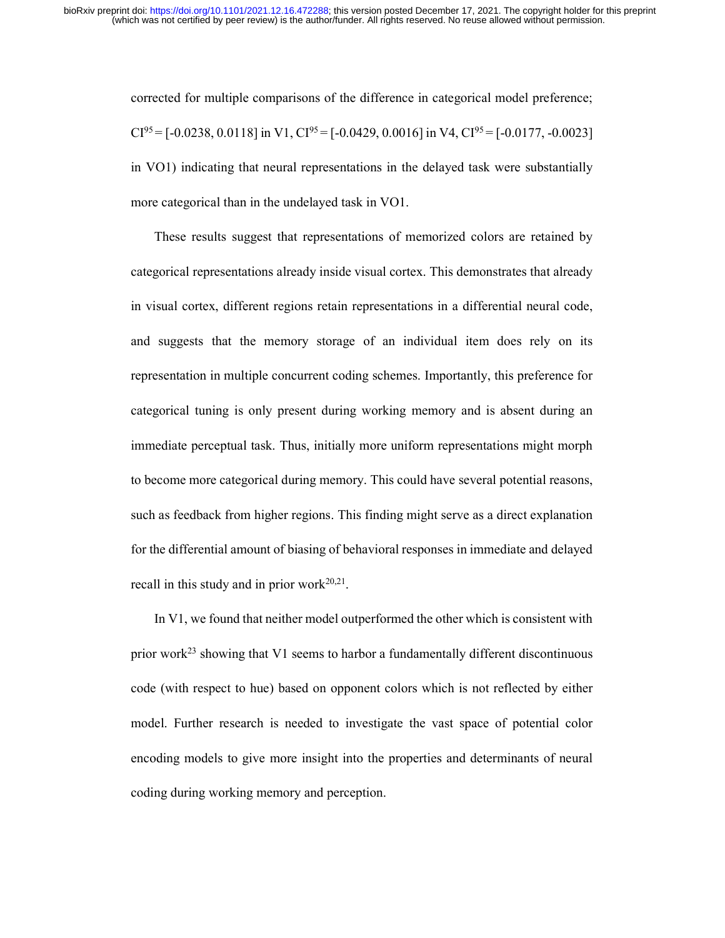corrected for multiple comparisons of the difference in categorical model preference;  $CI^{95} = [-0.0238, 0.0118]$  in V1,  $CI^{95} = [-0.0429, 0.0016]$  in V4,  $CI^{95} = [-0.0177, -0.0023]$ in VO1) indicating that neural representations in the delayed task were substantially more categorical than in the undelayed task in VO1.

These results suggest that representations of memorized colors are retained by categorical representations already inside visual cortex. This demonstrates that already in visual cortex, different regions retain representations in a differential neural code, and suggests that the memory storage of an individual item does rely on its representation in multiple concurrent coding schemes. Importantly, this preference for categorical tuning is only present during working memory and is absent during an immediate perceptual task. Thus, initially more uniform representations might morph to become more categorical during memory. This could have several potential reasons, such as feedback from higher regions. This finding might serve as a direct explanation for the differential amount of biasing of behavioral responses in immediate and delayed recall in this study and in prior work $20,21$ .

In V1, we found that neither model outperformed the other which is consistent with prior work<sup>23</sup> showing that V1 seems to harbor a fundamentally different discontinuous code (with respect to hue) based on opponent colors which is not reflected by either model. Further research is needed to investigate the vast space of potential color encoding models to give more insight into the properties and determinants of neural coding during working memory and perception.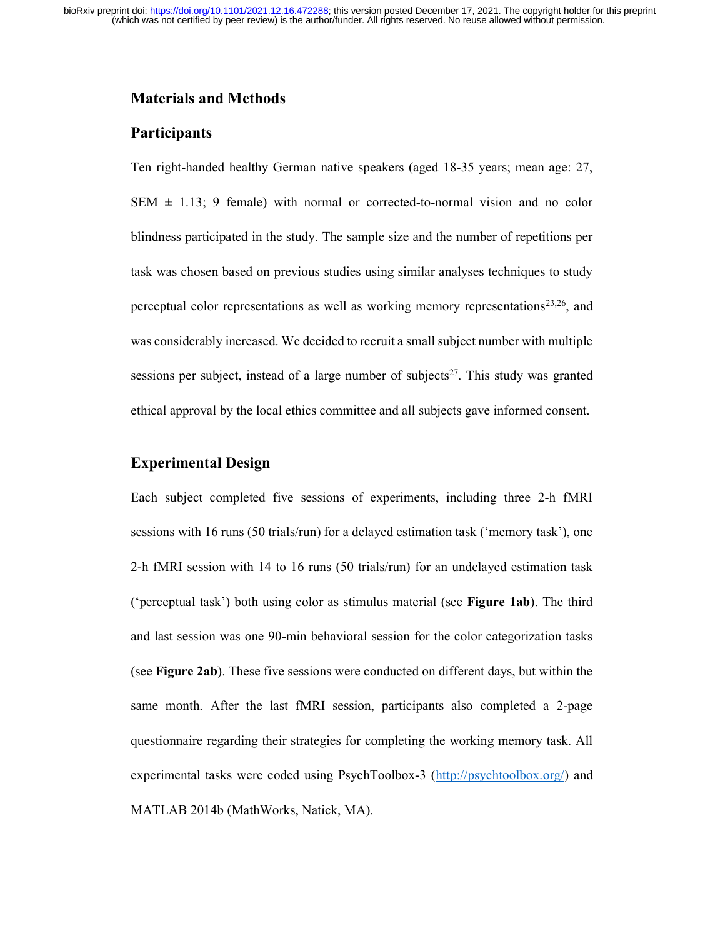# Materials and Methods

# **Participants**

Ten right-handed healthy German native speakers (aged 18-35 years; mean age: 27, SEM  $\pm$  1.13; 9 female) with normal or corrected-to-normal vision and no color blindness participated in the study. The sample size and the number of repetitions per task was chosen based on previous studies using similar analyses techniques to study perceptual color representations as well as working memory representations<sup>23,26</sup>, and was considerably increased. We decided to recruit a small subject number with multiple sessions per subject, instead of a large number of subjects $2^7$ . This study was granted ethical approval by the local ethics committee and all subjects gave informed consent.

# Experimental Design

Each subject completed five sessions of experiments, including three 2-h fMRI sessions with 16 runs (50 trials/run) for a delayed estimation task ('memory task'), one 2-h fMRI session with 14 to 16 runs (50 trials/run) for an undelayed estimation task ('perceptual task') both using color as stimulus material (see Figure 1ab). The third and last session was one 90-min behavioral session for the color categorization tasks (see Figure 2ab). These five sessions were conducted on different days, but within the same month. After the last fMRI session, participants also completed a 2-page questionnaire regarding their strategies for completing the working memory task. All experimental tasks were coded using PsychToolbox-3 (http://psychtoolbox.org/) and MATLAB 2014b (MathWorks, Natick, MA).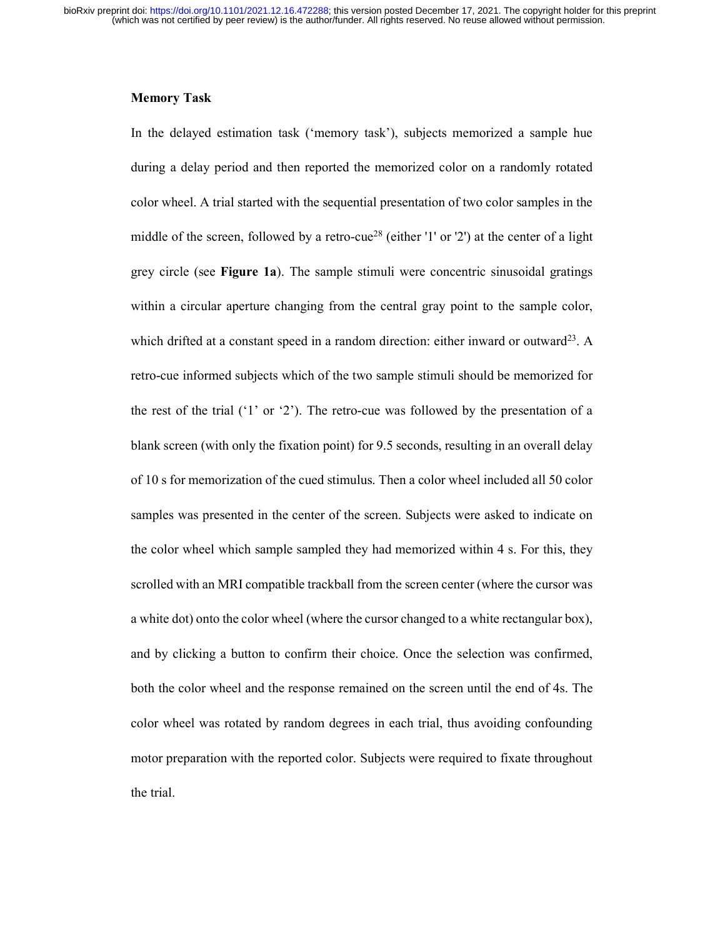#### Memory Task

In the delayed estimation task ('memory task'), subjects memorized a sample hue during a delay period and then reported the memorized color on a randomly rotated color wheel. A trial started with the sequential presentation of two color samples in the middle of the screen, followed by a retro-cue<sup>28</sup> (either '1' or '2') at the center of a light grey circle (see Figure 1a). The sample stimuli were concentric sinusoidal gratings within a circular aperture changing from the central gray point to the sample color, which drifted at a constant speed in a random direction: either inward or outward<sup>23</sup>. A retro-cue informed subjects which of the two sample stimuli should be memorized for the rest of the trial ('1' or '2'). The retro-cue was followed by the presentation of a blank screen (with only the fixation point) for 9.5 seconds, resulting in an overall delay of 10 s for memorization of the cued stimulus. Then a color wheel included all 50 color samples was presented in the center of the screen. Subjects were asked to indicate on the color wheel which sample sampled they had memorized within 4 s. For this, they scrolled with an MRI compatible trackball from the screen center (where the cursor was a white dot) onto the color wheel (where the cursor changed to a white rectangular box), and by clicking a button to confirm their choice. Once the selection was confirmed, both the color wheel and the response remained on the screen until the end of 4s. The color wheel was rotated by random degrees in each trial, thus avoiding confounding motor preparation with the reported color. Subjects were required to fixate throughout the trial.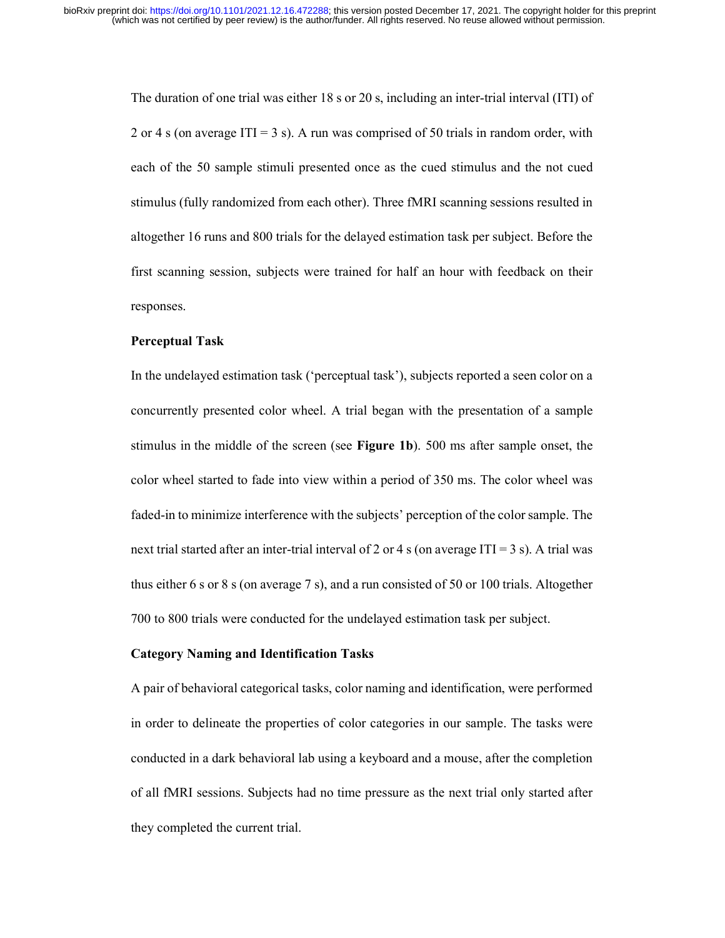The duration of one trial was either 18 s or 20 s, including an inter-trial interval (ITI) of 2 or 4 s (on average ITI = 3 s). A run was comprised of 50 trials in random order, with each of the 50 sample stimuli presented once as the cued stimulus and the not cued stimulus (fully randomized from each other). Three fMRI scanning sessions resulted in altogether 16 runs and 800 trials for the delayed estimation task per subject. Before the first scanning session, subjects were trained for half an hour with feedback on their responses.

#### Perceptual Task

In the undelayed estimation task ('perceptual task'), subjects reported a seen color on a concurrently presented color wheel. A trial began with the presentation of a sample stimulus in the middle of the screen (see Figure 1b). 500 ms after sample onset, the color wheel started to fade into view within a period of 350 ms. The color wheel was faded-in to minimize interference with the subjects' perception of the color sample. The next trial started after an inter-trial interval of 2 or 4 s (on average ITI = 3 s). A trial was thus either 6 s or 8 s (on average 7 s), and a run consisted of 50 or 100 trials. Altogether 700 to 800 trials were conducted for the undelayed estimation task per subject.

#### Category Naming and Identification Tasks

A pair of behavioral categorical tasks, color naming and identification, were performed in order to delineate the properties of color categories in our sample. The tasks were conducted in a dark behavioral lab using a keyboard and a mouse, after the completion of all fMRI sessions. Subjects had no time pressure as the next trial only started after they completed the current trial.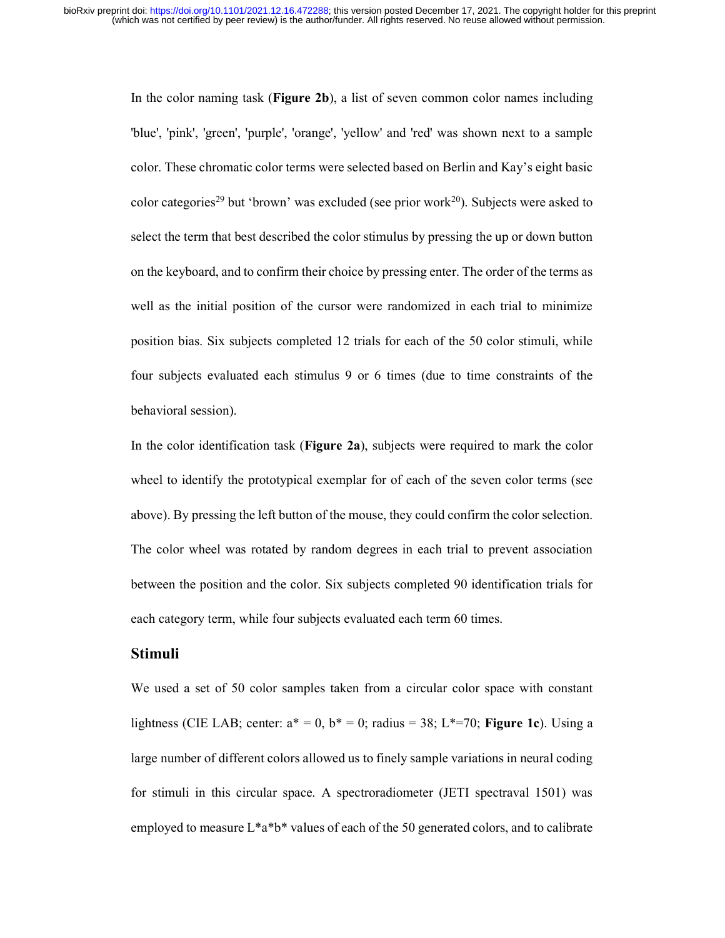In the color naming task (Figure 2b), a list of seven common color names including 'blue', 'pink', 'green', 'purple', 'orange', 'yellow' and 'red' was shown next to a sample color. These chromatic color terms were selected based on Berlin and Kay's eight basic color categories<sup>29</sup> but 'brown' was excluded (see prior work<sup>20</sup>). Subjects were asked to select the term that best described the color stimulus by pressing the up or down button on the keyboard, and to confirm their choice by pressing enter. The order of the terms as well as the initial position of the cursor were randomized in each trial to minimize position bias. Six subjects completed 12 trials for each of the 50 color stimuli, while four subjects evaluated each stimulus 9 or 6 times (due to time constraints of the behavioral session).

In the color identification task (Figure 2a), subjects were required to mark the color wheel to identify the prototypical exemplar for of each of the seven color terms (see above). By pressing the left button of the mouse, they could confirm the color selection. The color wheel was rotated by random degrees in each trial to prevent association between the position and the color. Six subjects completed 90 identification trials for each category term, while four subjects evaluated each term 60 times.

# Stimuli

We used a set of 50 color samples taken from a circular color space with constant lightness (CIE LAB; center:  $a^* = 0$ ,  $b^* = 0$ ; radius = 38; L\*=70; Figure 1c). Using a large number of different colors allowed us to finely sample variations in neural coding for stimuli in this circular space. A spectroradiometer (JETI spectraval 1501) was employed to measure  $L^*a^*b^*$  values of each of the 50 generated colors, and to calibrate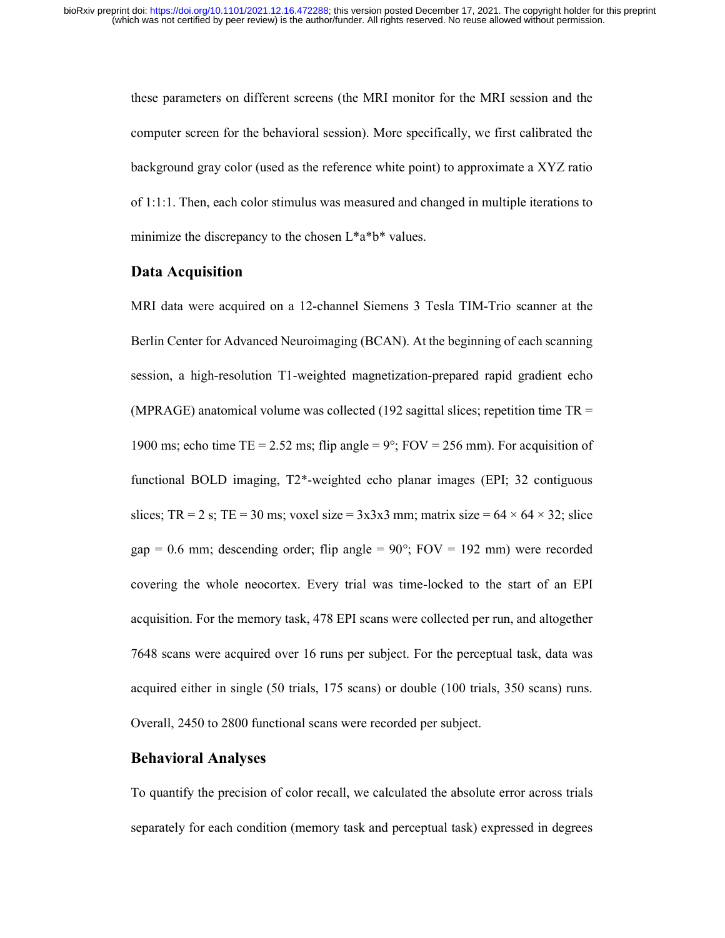these parameters on different screens (the MRI monitor for the MRI session and the computer screen for the behavioral session). More specifically, we first calibrated the background gray color (used as the reference white point) to approximate a XYZ ratio of 1:1:1. Then, each color stimulus was measured and changed in multiple iterations to minimize the discrepancy to the chosen  $L^*a^*b^*$  values.

### Data Acquisition

MRI data were acquired on a 12-channel Siemens 3 Tesla TIM-Trio scanner at the Berlin Center for Advanced Neuroimaging (BCAN). At the beginning of each scanning session, a high-resolution T1-weighted magnetization-prepared rapid gradient echo (MPRAGE) anatomical volume was collected (192 sagittal slices; repetition time  $TR =$ 1900 ms; echo time TE = 2.52 ms; flip angle =  $9^{\circ}$ ; FOV = 256 mm). For acquisition of functional BOLD imaging, T2\*-weighted echo planar images (EPI; 32 contiguous slices; TR = 2 s; TE = 30 ms; voxel size =  $3x3x3$  mm; matrix size =  $64 \times 64 \times 32$ ; slice gap = 0.6 mm; descending order; flip angle =  $90^{\circ}$ ; FOV = 192 mm) were recorded covering the whole neocortex. Every trial was time-locked to the start of an EPI acquisition. For the memory task, 478 EPI scans were collected per run, and altogether 7648 scans were acquired over 16 runs per subject. For the perceptual task, data was acquired either in single (50 trials, 175 scans) or double (100 trials, 350 scans) runs. Overall, 2450 to 2800 functional scans were recorded per subject.

# Behavioral Analyses

To quantify the precision of color recall, we calculated the absolute error across trials separately for each condition (memory task and perceptual task) expressed in degrees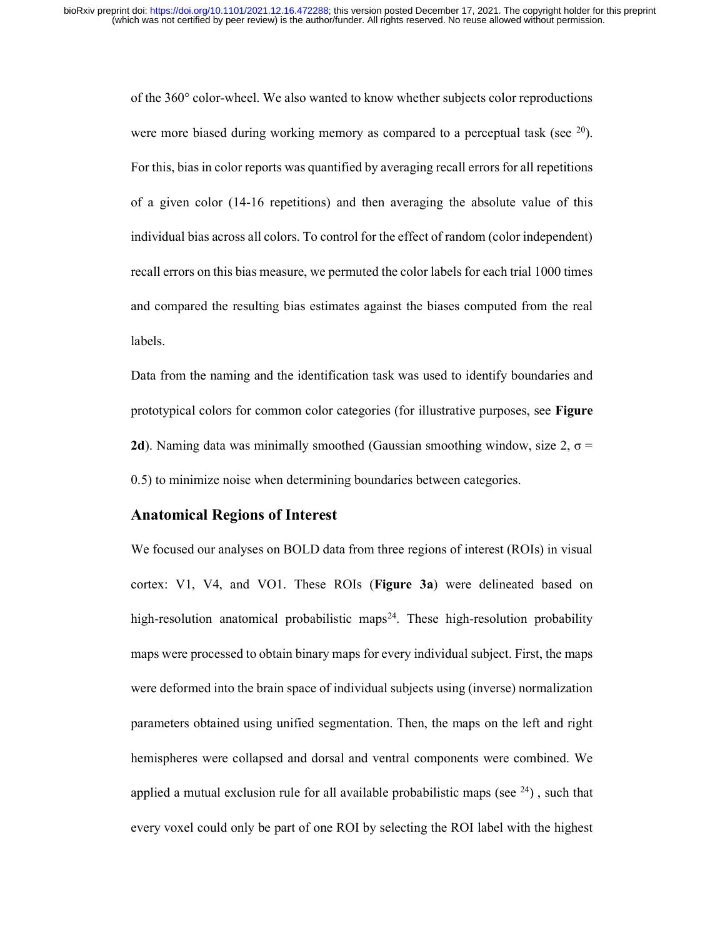of the 360° color-wheel. We also wanted to know whether subjects color reproductions were more biased during working memory as compared to a perceptual task (see  $20$ ). For this, bias in color reports was quantified by averaging recall errors for all repetitions of a given color (14-16 repetitions) and then averaging the absolute value of this individual bias across all colors. To control for the effect of random (color independent) recall errors on this bias measure, we permuted the color labels for each trial 1000 times and compared the resulting bias estimates against the biases computed from the real labels.

Data from the naming and the identification task was used to identify boundaries and prototypical colors for common color categories (for illustrative purposes, see Figure 2d). Naming data was minimally smoothed (Gaussian smoothing window, size 2,  $\sigma$  = 0.5) to minimize noise when determining boundaries between categories.

### Anatomical Regions of Interest

We focused our analyses on BOLD data from three regions of interest (ROIs) in visual cortex: V1, V4, and VO1. These ROIs (Figure 3a) were delineated based on high-resolution anatomical probabilistic maps<sup>24</sup>. These high-resolution probability maps were processed to obtain binary maps for every individual subject. First, the maps were deformed into the brain space of individual subjects using (inverse) normalization parameters obtained using unified segmentation. Then, the maps on the left and right hemispheres were collapsed and dorsal and ventral components were combined. We applied a mutual exclusion rule for all available probabilistic maps (see  $24$ ), such that every voxel could only be part of one ROI by selecting the ROI label with the highest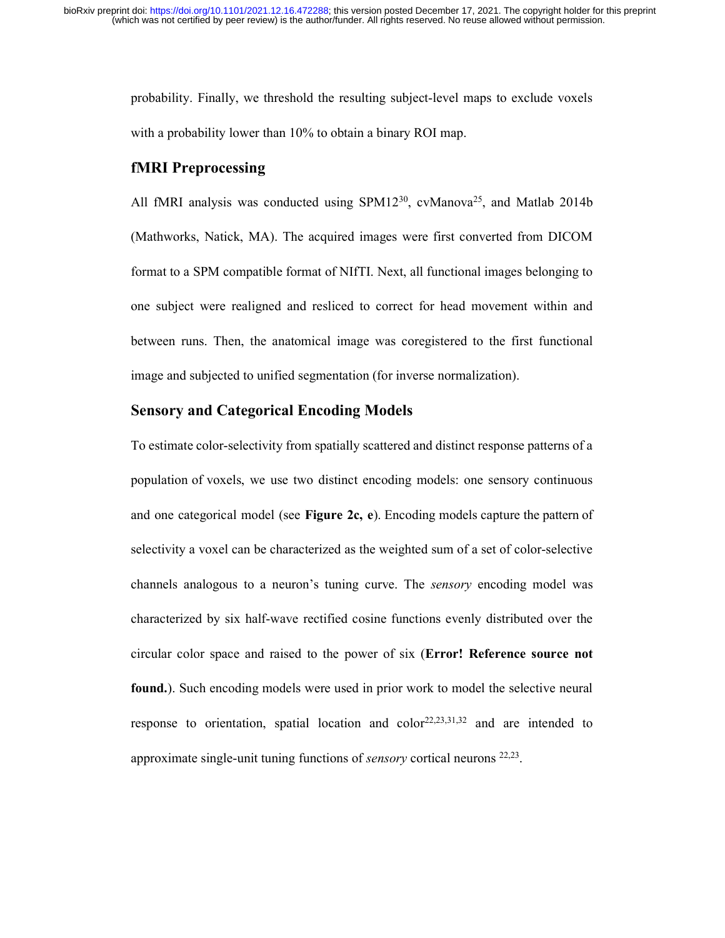probability. Finally, we threshold the resulting subject-level maps to exclude voxels with a probability lower than 10% to obtain a binary ROI map.

## fMRI Preprocessing

All fMRI analysis was conducted using SPM12<sup>30</sup>, cvManova<sup>25</sup>, and Matlab 2014b (Mathworks, Natick, MA). The acquired images were first converted from DICOM format to a SPM compatible format of NIfTI. Next, all functional images belonging to one subject were realigned and resliced to correct for head movement within and between runs. Then, the anatomical image was coregistered to the first functional image and subjected to unified segmentation (for inverse normalization).

# Sensory and Categorical Encoding Models

To estimate color-selectivity from spatially scattered and distinct response patterns of a population of voxels, we use two distinct encoding models: one sensory continuous and one categorical model (see Figure 2c, e). Encoding models capture the pattern of selectivity a voxel can be characterized as the weighted sum of a set of color-selective channels analogous to a neuron's tuning curve. The sensory encoding model was characterized by six half-wave rectified cosine functions evenly distributed over the circular color space and raised to the power of six (Error! Reference source not found.). Such encoding models were used in prior work to model the selective neural response to orientation, spatial location and color<sup>22,23,31,32</sup> and are intended to approximate single-unit tuning functions of *sensory* cortical neurons <sup>22,23</sup>.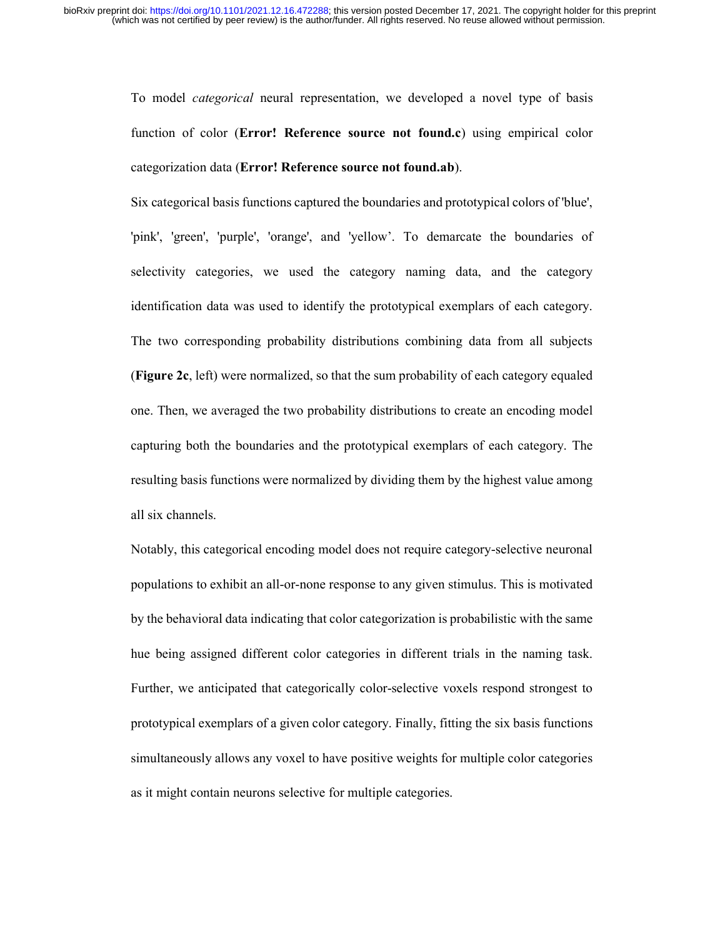To model categorical neural representation, we developed a novel type of basis function of color (Error! Reference source not found.c) using empirical color categorization data (Error! Reference source not found.ab).

Six categorical basis functions captured the boundaries and prototypical colors of 'blue', 'pink', 'green', 'purple', 'orange', and 'yellow'. To demarcate the boundaries of selectivity categories, we used the category naming data, and the category identification data was used to identify the prototypical exemplars of each category. The two corresponding probability distributions combining data from all subjects (Figure 2c, left) were normalized, so that the sum probability of each category equaled one. Then, we averaged the two probability distributions to create an encoding model capturing both the boundaries and the prototypical exemplars of each category. The resulting basis functions were normalized by dividing them by the highest value among all six channels.

Notably, this categorical encoding model does not require category-selective neuronal populations to exhibit an all-or-none response to any given stimulus. This is motivated by the behavioral data indicating that color categorization is probabilistic with the same hue being assigned different color categories in different trials in the naming task. Further, we anticipated that categorically color-selective voxels respond strongest to prototypical exemplars of a given color category. Finally, fitting the six basis functions simultaneously allows any voxel to have positive weights for multiple color categories as it might contain neurons selective for multiple categories.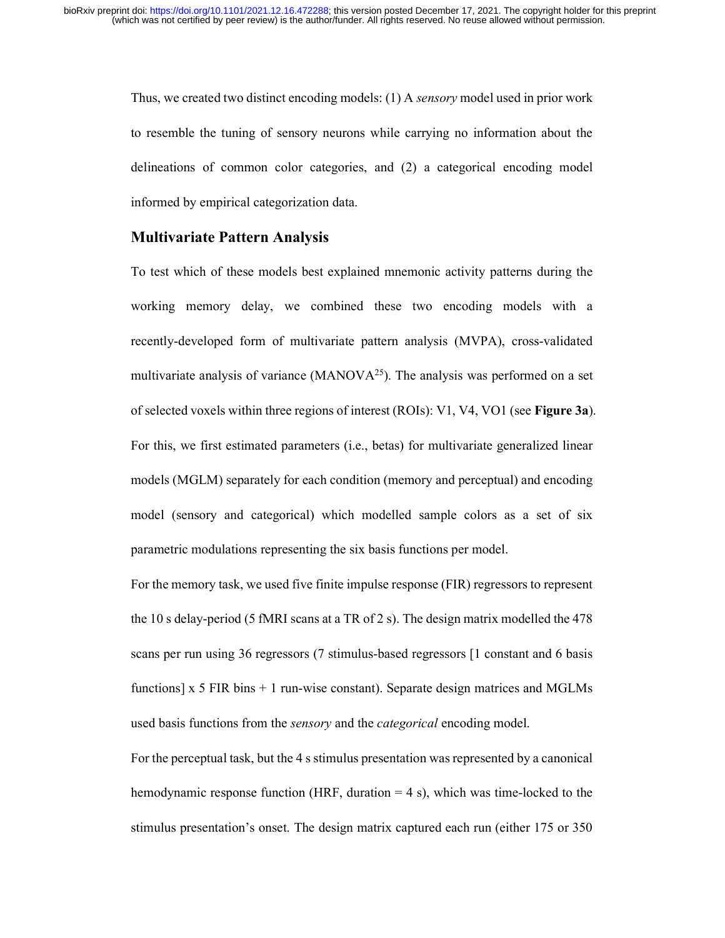Thus, we created two distinct encoding models: (1) A sensory model used in prior work to resemble the tuning of sensory neurons while carrying no information about the delineations of common color categories, and (2) a categorical encoding model informed by empirical categorization data.

#### Multivariate Pattern Analysis

To test which of these models best explained mnemonic activity patterns during the working memory delay, we combined these two encoding models with a recently-developed form of multivariate pattern analysis (MVPA), cross-validated multivariate analysis of variance (MANOV $A^{25}$ ). The analysis was performed on a set of selected voxels within three regions of interest (ROIs): V1, V4, VO1 (see Figure 3a). For this, we first estimated parameters (i.e., betas) for multivariate generalized linear models (MGLM) separately for each condition (memory and perceptual) and encoding model (sensory and categorical) which modelled sample colors as a set of six parametric modulations representing the six basis functions per model.

For the memory task, we used five finite impulse response (FIR) regressors to represent the 10 s delay-period (5 fMRI scans at a TR of 2 s). The design matrix modelled the 478 scans per run using 36 regressors (7 stimulus-based regressors [1 constant and 6 basis functions]  $x$  5 FIR bins  $+$  1 run-wise constant). Separate design matrices and MGLMs used basis functions from the *sensory* and the *categorical* encoding model.

For the perceptual task, but the 4 s stimulus presentation was represented by a canonical hemodynamic response function (HRF, duration = 4 s), which was time-locked to the stimulus presentation's onset. The design matrix captured each run (either 175 or 350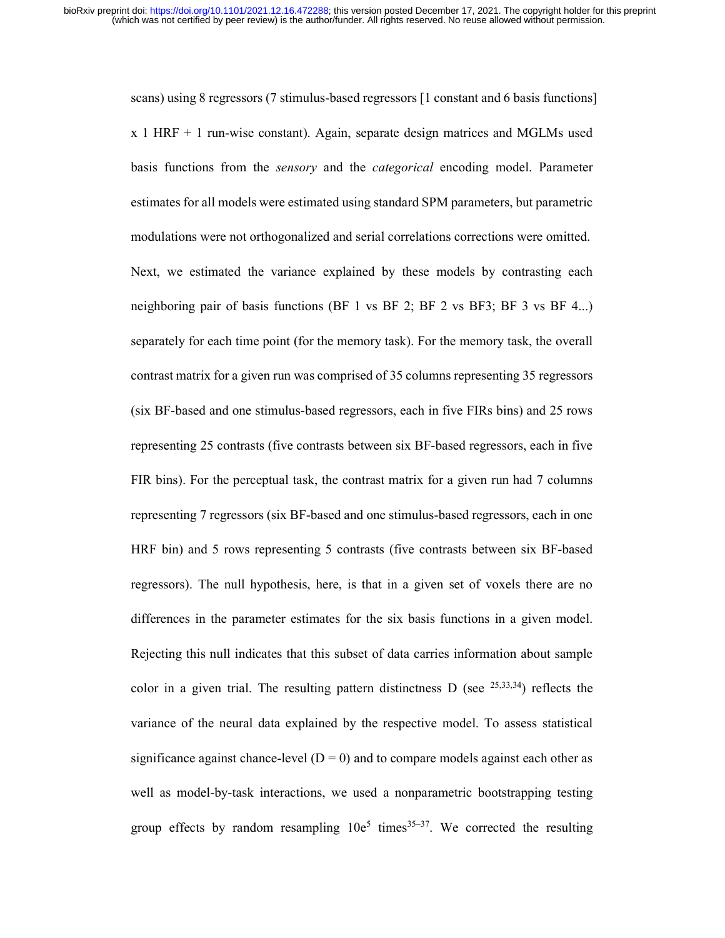scans) using 8 regressors (7 stimulus-based regressors [1 constant and 6 basis functions] x 1 HRF + 1 run-wise constant). Again, separate design matrices and MGLMs used basis functions from the sensory and the categorical encoding model. Parameter estimates for all models were estimated using standard SPM parameters, but parametric modulations were not orthogonalized and serial correlations corrections were omitted. Next, we estimated the variance explained by these models by contrasting each neighboring pair of basis functions (BF 1 vs BF 2; BF 2 vs BF3; BF 3 vs BF 4...) separately for each time point (for the memory task). For the memory task, the overall contrast matrix for a given run was comprised of 35 columns representing 35 regressors (six BF-based and one stimulus-based regressors, each in five FIRs bins) and 25 rows representing 25 contrasts (five contrasts between six BF-based regressors, each in five FIR bins). For the perceptual task, the contrast matrix for a given run had 7 columns representing 7 regressors (six BF-based and one stimulus-based regressors, each in one HRF bin) and 5 rows representing 5 contrasts (five contrasts between six BF-based regressors). The null hypothesis, here, is that in a given set of voxels there are no differences in the parameter estimates for the six basis functions in a given model. Rejecting this null indicates that this subset of data carries information about sample color in a given trial. The resulting pattern distinctness D (see  $^{25,33,34}$ ) reflects the variance of the neural data explained by the respective model. To assess statistical significance against chance-level  $(D = 0)$  and to compare models against each other as well as model-by-task interactions, we used a nonparametric bootstrapping testing group effects by random resampling  $10e^5$  times  $35-37$ . We corrected the resulting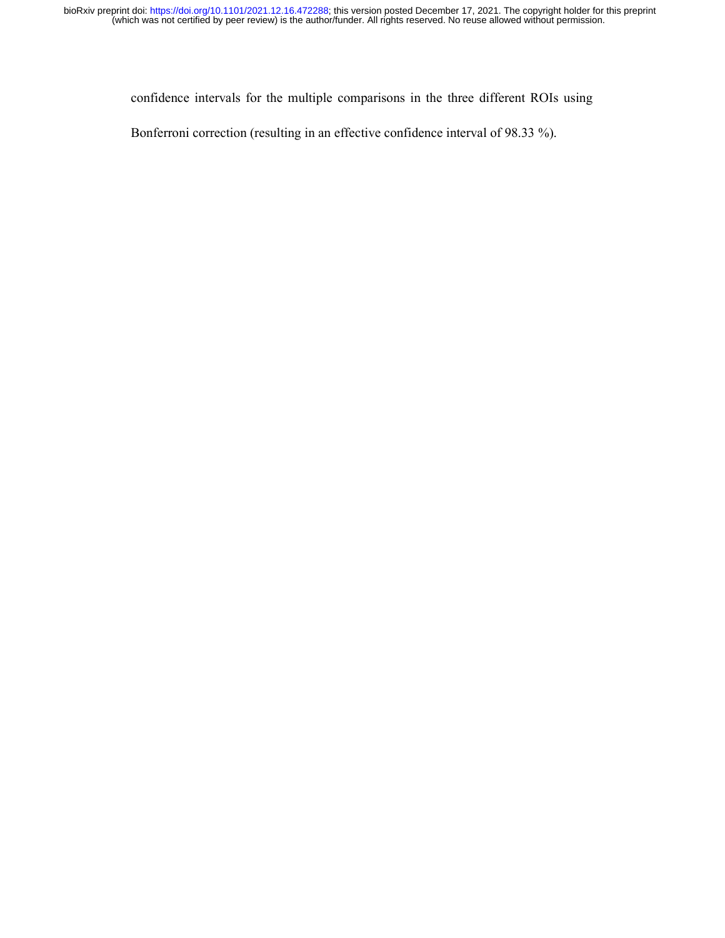confidence intervals for the multiple comparisons in the three different ROIs using

Bonferroni correction (resulting in an effective confidence interval of 98.33 %).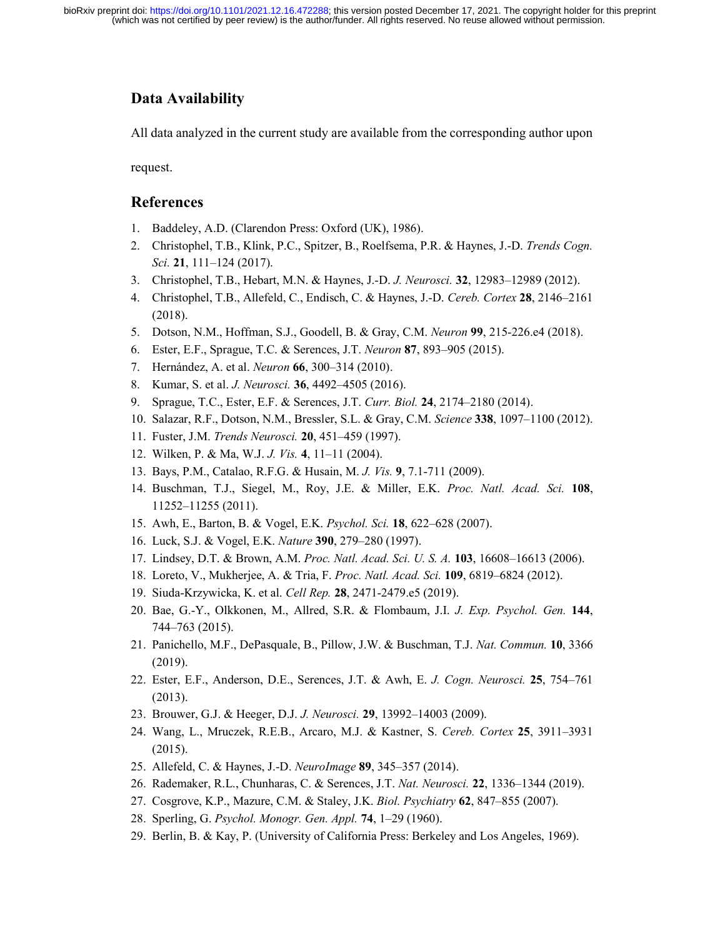# Data Availability

All data analyzed in the current study are available from the corresponding author upon

request.

# References

- 1. Baddeley, A.D. (Clarendon Press: Oxford (UK), 1986).
- 2. Christophel, T.B., Klink, P.C., Spitzer, B., Roelfsema, P.R. & Haynes, J.-D. Trends Cogn. Sci. 21, 111–124 (2017).
- 3. Christophel, T.B., Hebart, M.N. & Haynes, J.-D. J. Neurosci. 32, 12983–12989 (2012).
- 4. Christophel, T.B., Allefeld, C., Endisch, C. & Haynes, J.-D. Cereb. Cortex 28, 2146–2161 (2018).
- 5. Dotson, N.M., Hoffman, S.J., Goodell, B. & Gray, C.M. Neuron 99, 215-226.e4 (2018).
- 6. Ester, E.F., Sprague, T.C. & Serences, J.T. Neuron 87, 893–905 (2015).
- 7. Hernández, A. et al. Neuron 66, 300–314 (2010).
- 8. Kumar, S. et al. J. Neurosci. 36, 4492–4505 (2016).
- 9. Sprague, T.C., Ester, E.F. & Serences, J.T. Curr. Biol. 24, 2174–2180 (2014).
- 10. Salazar, R.F., Dotson, N.M., Bressler, S.L. & Gray, C.M. Science 338, 1097–1100 (2012).
- 11. Fuster, J.M. Trends Neurosci. 20, 451–459 (1997).
- 12. Wilken, P. & Ma, W.J. J. Vis. 4, 11–11 (2004).
- 13. Bays, P.M., Catalao, R.F.G. & Husain, M. J. Vis. 9, 7.1-711 (2009).
- 14. Buschman, T.J., Siegel, M., Roy, J.E. & Miller, E.K. Proc. Natl. Acad. Sci. 108, 11252–11255 (2011).
- 15. Awh, E., Barton, B. & Vogel, E.K. Psychol. Sci. 18, 622–628 (2007).
- 16. Luck, S.J. & Vogel, E.K. Nature 390, 279–280 (1997).
- 17. Lindsey, D.T. & Brown, A.M. Proc. Natl. Acad. Sci. U. S. A. 103, 16608–16613 (2006).
- 18. Loreto, V., Mukherjee, A. & Tria, F. Proc. Natl. Acad. Sci. 109, 6819–6824 (2012).
- 19. Siuda-Krzywicka, K. et al. Cell Rep. 28, 2471-2479.e5 (2019).
- 20. Bae, G.-Y., Olkkonen, M., Allred, S.R. & Flombaum, J.I. J. Exp. Psychol. Gen. 144, 744–763 (2015).
- 21. Panichello, M.F., DePasquale, B., Pillow, J.W. & Buschman, T.J. Nat. Commun. 10, 3366 (2019).
- 22. Ester, E.F., Anderson, D.E., Serences, J.T. & Awh, E. J. Cogn. Neurosci. 25, 754–761 (2013).
- 23. Brouwer, G.J. & Heeger, D.J. J. Neurosci. 29, 13992–14003 (2009).
- 24. Wang, L., Mruczek, R.E.B., Arcaro, M.J. & Kastner, S. Cereb. Cortex 25, 3911–3931 (2015).
- 25. Allefeld, C. & Haynes, J.-D. NeuroImage 89, 345–357 (2014).
- 26. Rademaker, R.L., Chunharas, C. & Serences, J.T. Nat. Neurosci. 22, 1336–1344 (2019).
- 27. Cosgrove, K.P., Mazure, C.M. & Staley, J.K. Biol. Psychiatry 62, 847–855 (2007).
- 28. Sperling, G. Psychol. Monogr. Gen. Appl. 74, 1–29 (1960).
- 29. Berlin, B. & Kay, P. (University of California Press: Berkeley and Los Angeles, 1969).